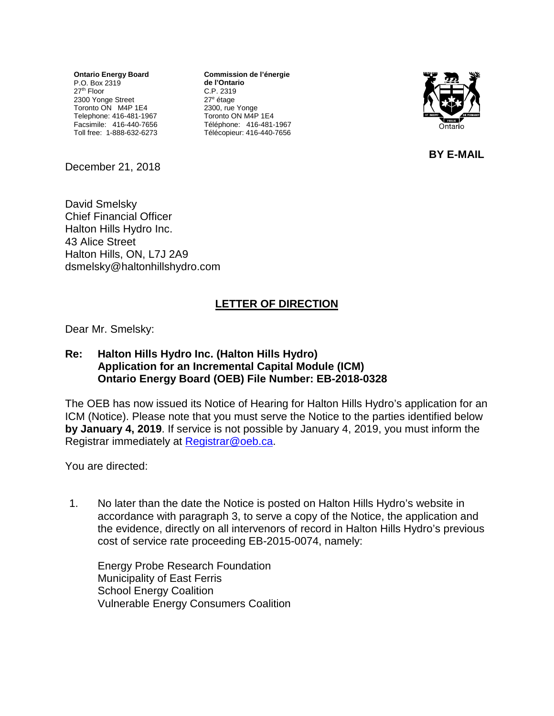**Ontario Energy Board** P.O. Box 2319 27<sup>th</sup> Floor 2300 Yonge Street Toronto ON M4P 1E4 Telephone: 416-481-1967 Facsimile: 416-440-7656 Toll free: 1-888-632-6273

**Commission de l'énergie de l'Ontario** C.P. 2319 27e étage 2300, rue Yonge Toronto ON M4P 1E4 Téléphone: 416-481-1967 Télécopieur: 416-440-7656



**BY E-MAIL**

December 21, 2018

David Smelsky Chief Financial Officer Halton Hills Hydro Inc. 43 Alice Street Halton Hills, ON, L7J 2A9 [dsmelsky@haltonhillshydro.com](mailto:dsmelsky@haltonhillshydro.com)

## **LETTER OF DIRECTION**

Dear Mr. Smelsky:

## **Re: Halton Hills Hydro Inc. (Halton Hills Hydro) Application for an Incremental Capital Module (ICM) Ontario Energy Board (OEB) File Number: EB-2018-0328**

The OEB has now issued its Notice of Hearing for Halton Hills Hydro's application for an ICM (Notice). Please note that you must serve the Notice to the parties identified below **by January 4, 2019**. If service is not possible by January 4, 2019, you must inform the Registrar immediately at [Registrar@oeb.ca.](mailto:Registrar@oeb.ca)

You are directed:

1. No later than the date the Notice is posted on Halton Hills Hydro's website in accordance with paragraph 3, to serve a copy of the Notice, the application and the evidence, directly on all intervenors of record in Halton Hills Hydro's previous cost of service rate proceeding EB-2015-0074, namely:

Energy Probe Research Foundation Municipality of East Ferris School Energy Coalition Vulnerable Energy Consumers Coalition